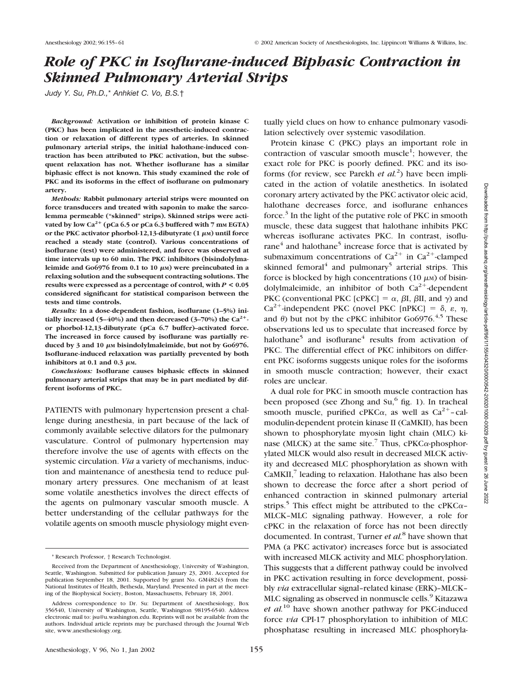# *Role of PKC in Isoflurane-induced Biphasic Contraction in Skinned Pulmonary Arterial Strips*

*Judy Y. Su, Ph.D.,*\* *Anhkiet C. Vo, B.S.*†

*Background:* **Activation or inhibition of protein kinase C (PKC) has been implicated in the anesthetic-induced contraction or relaxation of different types of arteries. In skinned pulmonary arterial strips, the initial halothane-induced contraction has been attributed to PKC activation, but the subsequent relaxation has not. Whether isoflurane has a similar biphasic effect is not known. This study examined the role of PKC and its isoforms in the effect of isoflurane on pulmonary artery.**

*Methods:* **Rabbit pulmonary arterial strips were mounted on force transducers and treated with saponin to make the sarcolemma permeable ("skinned" strips). Skinned strips were acti**vated by low Ca<sup>2+</sup> (pCa 6.5 or pCa 6.3 buffered with 7 mm EGTA) or the PKC activator phorbol-12,13-dibutyrate (1 μm) until force **reached a steady state (control). Various concentrations of isoflurane (test) were administered, and force was observed at time intervals up to 60 min. The PKC inhibitors (bisindolylmaleimide and Go6976 from 0.1 to 10 μm) were preincubated in a relaxing solution and the subsequent contracting solutions. The results were expressed as a percentage of control, with** *P* **< 0.05 considered significant for statistical comparison between the tests and time controls.**

*Results:* **In a dose-dependent fashion, isoflurane (1–5%) initially increased (5–40%) and then decreased (3–70%) the Ca2 or phorbol-12,13-dibutyrate (pCa 6.7 buffer)–activated force. The increased in force caused by isoflurane was partially reduced by 3 and 10 μm bisindolylmaleimide, but not by Go6976. Isoflurane-induced relaxation was partially prevented by both** inhibitors at 0.1 and 0.3  $\mu$ M.

*Conclusions:* **Isoflurane causes biphasic effects in skinned pulmonary arterial strips that may be in part mediated by different isoforms of PKC.**

PATIENTS with pulmonary hypertension present a challenge during anesthesia, in part because of the lack of commonly available selective dilators for the pulmonary vasculature. Control of pulmonary hypertension may therefore involve the use of agents with effects on the systemic circulation. *Via* a variety of mechanisms, induction and maintenance of anesthesia tend to reduce pulmonary artery pressures. One mechanism of at least some volatile anesthetics involves the direct effects of the agents on pulmonary vascular smooth muscle. A better understanding of the cellular pathways for the volatile agents on smooth muscle physiology might even-

Protein kinase C (PKC) plays an important role in contraction of vascular smooth muscle<sup>1</sup>; however, the exact role for PKC is poorly defined. PKC and its isoforms (for review, see Parekh *et al.*<sup>2</sup>) have been implicated in the action of volatile anesthetics. In isolated coronary artery activated by the PKC activator oleic acid, halothane decreases force, and isoflurane enhances force. $3$  In the light of the putative role of PKC in smooth muscle, these data suggest that halothane inhibits PKC whereas isoflurane activates PKC. In contrast, isoflurane $^{4}$  and halothane<sup>5</sup> increase force that is activated by submaximum concentrations of  $Ca^{2+}$  in  $Ca^{2+}$ -clamped skinned femoral<sup>4</sup> and pulmonary<sup>5</sup> arterial strips. This force is blocked by high concentrations (10  $\mu$ M) of bisindolylmaleimide, an inhibitor of both  $Ca^{2+}$ -dependent PKC (conventional PKC [cPKC] =  $\alpha$ ,  $\beta$ I,  $\beta$ II, and  $\gamma$ ) and  $Ca^{2+}$ -independent PKC (novel PKC [nPKC] =  $\delta$ ,  $\varepsilon$ ,  $\eta$ , and  $\theta$ ) but not by the cPKC inhibitor Go6976.<sup>4,5</sup> These observations led us to speculate that increased force by halothane<sup>5</sup> and isoflurane<sup>4</sup> results from activation of PKC. The differential effect of PKC inhibitors on different PKC isoforms suggests unique roles for the isoforms in smooth muscle contraction; however, their exact roles are unclear.

A dual role for PKC in smooth muscle contraction has been proposed (see Zhong and  $Su$ <sup>6</sup> fig. 1). In tracheal smooth muscle, purified cPKC $\alpha$ , as well as Ca<sup>2+</sup>-calmodulin-dependent protein kinase II (CaMKII), has been shown to phosphorylate myosin light chain (MLC) kinase (MLCK) at the same site.<sup>7</sup> Thus, cPKC $\alpha$ -phosphorylated MLCK would also result in decreased MLCK activity and decreased MLC phosphorylation as shown with  $CaMKII$ , $7$  leading to relaxation. Halothane has also been shown to decrease the force after a short period of enhanced contraction in skinned pulmonary arterial strips.<sup>5</sup> This effect might be attributed to the cPKC $\alpha$ -MLCK–MLC signaling pathway. However, a role for cPKC in the relaxation of force has not been directly documented. In contrast, Turner *et al.*<sup>8</sup> have shown that PMA (a PKC activator) increases force but is associated with increased MLCK activity and MLC phosphorylation. This suggests that a different pathway could be involved in PKC activation resulting in force development, possibly *via* extracellular signal–related kinase (ERK)–MLCK– MLC signaling as observed in nonmuscle cells.<sup>9</sup> Kitazawa *et al.*<sup>10</sup> have shown another pathway for PKC-induced force *via* CPI-17 phosphorylation to inhibition of MLC phosphatase resulting in increased MLC phosphoryla-

<sup>\*</sup> Research Professor, † Research Technologist.

Received from the Department of Anesthesiology, University of Washington, Seattle, Washington. Submitted for publication January 23, 2001. Accepted for publication September 18, 2001. Supported by grant No. GM48243 from the National Institutes of Health, Bethesda, Maryland. Presented in part at the meeting of the Biophysical Society, Boston, Massachusetts, February 18, 2001.

Address correspondence to Dr. Su: Department of Anesthesiology, Box 356540, University of Washington, Seattle, Washington 98195-6540. Address electronic mail to: jsu@u.washington.edu. Reprints will not be available from the authors. Individual article reprints may be purchased through the Journal Web site, www.anesthesiology.org.

tually yield clues on how to enhance pulmonary vasodilation selectively over systemic vasodilation.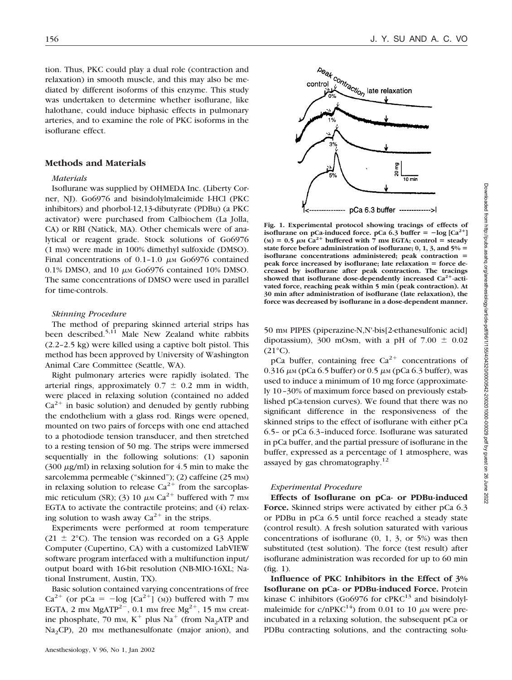tion. Thus, PKC could play a dual role (contraction and relaxation) in smooth muscle, and this may also be mediated by different isoforms of this enzyme. This study was undertaken to determine whether isoflurane, like halothane, could induce biphasic effects in pulmonary arteries, and to examine the role of PKC isoforms in the isoflurane effect.

### **Methods and Materials**

#### *Materials*

Isoflurane was supplied by OHMEDA Inc. (Liberty Corner, NJ). Go6976 and bisindolylmaleimide I-HCl (PKC inhibitors) and phorbol-12,13-dibutyrate (PDBu) (a PKC activator) were purchased from Calbiochem (La Jolla, CA) or RBI (Natick, MA). Other chemicals were of analytical or reagent grade. Stock solutions of Go6976 (1 mM) were made in 100% dimethyl sulfoxide (DMSO). Final concentrations of  $0.1$ -1.0  $\mu$ M Go6976 contained 0.1% DMSO, and 10  $\mu$ m Go6976 contained 10% DMSO. The same concentrations of DMSO were used in parallel for time-controls.

#### *Skinning Procedure*

The method of preparing skinned arterial strips has been described.<sup>5,11</sup> Male New Zealand white rabbits (2.2–2.5 kg) were killed using a captive bolt pistol. This method has been approved by University of Washington Animal Care Committee (Seattle, WA).

Right pulmonary arteries were rapidly isolated. The arterial rings, approximately  $0.7 \pm 0.2$  mm in width, were placed in relaxing solution (contained no added  $Ca^{2+}$  in basic solution) and denuded by gently rubbing the endothelium with a glass rod. Rings were opened, mounted on two pairs of forceps with one end attached to a photodiode tension transducer, and then stretched to a resting tension of 50 mg. The strips were immersed sequentially in the following solutions: (1) saponin (300  $\mu$ g/ml) in relaxing solution for 4.5 min to make the sarcolemma permeable ("skinned"); (2) caffeine (25 mm) in relaxing solution to release  $Ca^{2+}$  from the sarcoplasmic reticulum (SR); (3) 10  $\mu$ M Ca<sup>2+</sup> buffered with 7 mM EGTA to activate the contractile proteins; and (4) relaxing solution to wash away  $Ca^{2+}$  in the strips.

Experiments were performed at room temperature (21  $\pm$  2°C). The tension was recorded on a G3 Apple Computer (Cupertino, CA) with a customized LabVIEW software program interfaced with a multifunction input/ output board with 16-bit resolution (NB-MIO-16XL; National Instrument, Austin, TX).

Basic solution contained varying concentrations of free  $Ca^{2+}$  (or pCa =  $-\log$  [Ca<sup>2+</sup>] (M)) buffered with 7 mm EGTA, 2 mm MgATP<sup>2-</sup>, 0.1 mm free Mg<sup>2+</sup>, 15 mm creatine phosphate, 70 mm,  $K^+$  plus Na<sup>+</sup> (from Na<sub>2</sub>ATP and Na<sub>2</sub>CP), 20 mm methanesulfonate (major anion), and

Downloaded from http://pubs.asahq.org/anesthesiology/article-pdf/96/1/155/404320/0000542-200201000-00029.pdf by guest on 26 June 2022

Downloaded from http://pubs.asahq.org/amesthesiology/article-pdf/9611/1554404320/0000642-20020100-00029.pdf by guest on 26 June 2022



**Fig. 1. Experimental protocol showing tracings of effects of isoflurane on pCa-induced force. pCa 6.3 buffer**  $= -\log [Ca^{2+}]$  $(M) = 0.5 \mu M \frac{Ca^{2+}}{H}$  buffered with 7 mm EGTA; control = steady **state force before administration of isoflurane; 0, 1, 3, and 5% isoflurane concentrations administered; peak contraction** peak force increased by isoflurane; late relaxation = force de**creased by isoflurane after peak contraction. The tracings** showed that isoflurane dose-dependently increased Ca<sup>2+</sup>-acti**vated force, reaching peak within 5 min (peak contraction). At 30 min after administration of isoflurane (late relaxation), the force was decreased by isoflurane in a dose-dependent manner.**

50 mM PIPES (piperazine-N,N'-bis[2-ethanesulfonic acid] dipotassium), 300 mOsm, with a pH of  $7.00 \pm 0.02$  $(21^{\circ}C).$ 

pCa buffer, containing free  $Ca^{2+}$  concentrations of 0.316  $\mu$ M (pCa 6.5 buffer) or 0.5  $\mu$ M (pCa 6.3 buffer), was used to induce a minimum of 10 mg force (approximately 10–30% of maximum force based on previously established pCa-tension curves). We found that there was no significant difference in the responsiveness of the skinned strips to the effect of isoflurane with either pCa 6.5– or pCa 6.3–induced force. Isoflurane was saturated in pCa buffer, and the partial pressure of isoflurane in the buffer, expressed as a percentage of 1 atmosphere, was assayed by gas chromatography.<sup>12</sup>

### *Experimental Procedure*

**Effects of Isoflurane on pCa- or PDBu-induced Force.** Skinned strips were activated by either pCa 6.3 or PDBu in pCa 6.5 until force reached a steady state (control result). A fresh solution saturated with various concentrations of isoflurane  $(0, 1, 3, 0r 5%)$  was then substituted (test solution). The force (test result) after isoflurane administration was recorded for up to 60 min (fig. 1).

**Influence of PKC Inhibitors in the Effect of 3% Isoflurane on pCa- or PDBu-induced Force.** Protein kinase C inhibitors (Go6976 for  $cPKC<sup>13</sup>$  and bisindolylmaleimide for  $c/nPKC^{14}$  from 0.01 to 10  $\mu$ M were preincubated in a relaxing solution, the subsequent pCa or PDBu contracting solutions, and the contracting solu-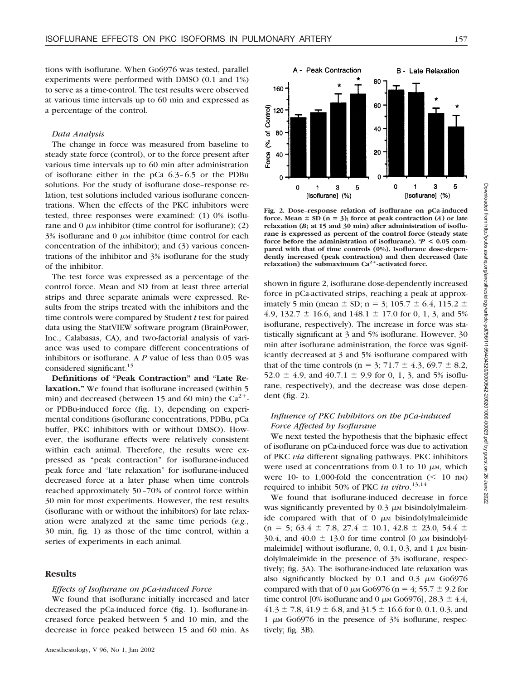tions with isoflurane. When Go6976 was tested, parallel experiments were performed with DMSO (0.1 and 1%) to serve as a time-control. The test results were observed at various time intervals up to 60 min and expressed as a percentage of the control.

### *Data Analysis*

The change in force was measured from baseline to steady state force (control), or to the force present after various time intervals up to 60 min after administration of isoflurane either in the pCa 6.3–6.5 or the PDBu solutions. For the study of isoflurane dose–response relation, test solutions included various isoflurane concentrations. When the effects of the PKC inhibitors were tested, three responses were examined: (1) 0% isoflurane and 0  $\mu$ <sub>M</sub> inhibitor (time control for isoflurane); (2)  $3\%$  isoflurane and 0  $\mu$ <sub>M</sub> inhibitor (time control for each concentration of the inhibitor); and (3) various concentrations of the inhibitor and 3% isoflurane for the study of the inhibitor.

The test force was expressed as a percentage of the control force. Mean and SD from at least three arterial strips and three separate animals were expressed. Results from the strips treated with the inhibitors and the time controls were compared by Student *t* test for paired data using the StatVIEW software program (BrainPower, Inc., Calabasas, CA), and two-factorial analysis of variance was used to compare different concentrations of inhibitors or isoflurane. A *P* value of less than 0.05 was considered significant.<sup>15</sup>

**Definitions of "Peak Contraction" and "Late Relaxation."** We found that isoflurane increased (within 5 min) and decreased (between 15 and 60 min) the  $Ca^{2+}$ or PDBu-induced force (fig. 1), depending on experimental conditions (isoflurane concentrations, PDBu, pCa buffer, PKC inhibitors with or without DMSO). However, the isoflurane effects were relatively consistent within each animal. Therefore, the results were expressed as "peak contraction" for isoflurane-induced peak force and "late relaxation" for isoflurane-induced decreased force at a later phase when time controls reached approximately 50–70% of control force within 30 min for most experiments. However, the test results (isoflurane with or without the inhibitors) for late relaxation were analyzed at the same time periods (*e.g.*, 30 min, fig. 1) as those of the time control, within a series of experiments in each animal.

### **Results**

#### *Effects of Isoflurane on pCa-induced Force*

We found that isoflurane initially increased and later decreased the pCa-induced force (fig. 1). Isoflurane-increased force peaked between 5 and 10 min, and the decrease in force peaked between 15 and 60 min. As



**Fig. 2. Dose–response relation of isoflurane on pCa-induced force.** Mean  $\pm$  SD (n = 3); force at peak contraction (*A*) or late **relaxation (***B***; at 15 and 30 min) after administration of isoflurane is expressed as percent of the control force (steady state force before the administration of isoflurane). \****P* **< 0.05 compared with that of time controls (0%). Isoflurane dose-dependently increased (peak contraction) and then decreased (late** relaxation) the submaximum Ca<sup>2+</sup>-activated force.

shown in figure 2, isoflurane dose-dependently increased force in pCa-activated strips, reaching a peak at approximately 5 min (mean  $\pm$  SD; n = 3; 105.7  $\pm$  6.4, 115.2  $\pm$ 4.9, 132.7  $\pm$  16.6, and 148.1  $\pm$  17.0 for 0, 1, 3, and 5% isoflurane, respectively). The increase in force was statistically significant at 3 and 5% isoflurane. However, 30 min after isoflurane administration, the force was significantly decreased at 3 and 5% isoflurane compared with that of the time controls ( $n = 3$ ; 71.7  $\pm$  4.3, 69.7  $\pm$  8.2, 52.0  $\pm$  4.9, and 40.7.1  $\pm$  9.9 for 0, 1, 3, and 5% isoflurane, respectively), and the decrease was dose dependent (fig. 2).

## *Influence of PKC Inhibitors on the pCa-induced Force Affected by Isoflurane*

We next tested the hypothesis that the biphasic effect of isoflurane on pCa-induced force was due to activation of PKC *via* different signaling pathways. PKC inhibitors were used at concentrations from  $0.1$  to  $10 \mu$ <sub>M</sub>, which were 10- to 1,000-fold the concentration  $(< 10 \text{ nm})$ required to inhibit 50% of PKC *in vitro*. 13,14

We found that isoflurane-induced decrease in force was significantly prevented by  $0.3 \mu$ M bisindolylmaleimide compared with that of  $\theta$   $\mu$ <sub>M</sub> bisindolylmaleimide  $(n = 5; 63.4 \pm 7.8, 27.4 \pm 10.1, 42.8 \pm 23.0, 54.4 \pm 10.1)$ 30.4, and 40.0  $\pm$  13.0 for time control [0  $\mu$ M bisindolylmaleimide] without isoflurane,  $0, 0.1, 0.3$ , and  $1 \mu$  m bisindolylmaleimide in the presence of 3% isoflurane, respectively; fig. 3A). The isoflurane-induced late relaxation was also significantly blocked by 0.1 and 0.3  $\mu$ M Go6976 compared with that of 0  $\mu$ M Go6976 (n = 4; 55.7  $\pm$  9.2 for time control [0% isoflurane and 0  $\mu$ M Go6976], 28.3  $\pm$  4.4,  $41.3 \pm 7.8$ ,  $41.9 \pm 6.8$ , and  $31.5 \pm 16.6$  for 0, 0.1, 0.3, and 1  $\mu$ M Go6976 in the presence of 3% isoflurane, respectively; fig. 3B).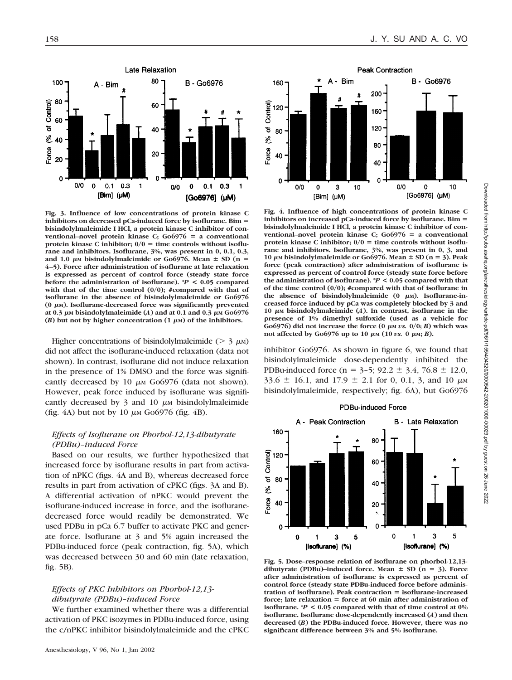

**Fig. 3. Influence of low concentrations of protein kinase C inhibitors on decreased pCa-induced force by isoflurane. Bim bisindolylmaleimide I HCl, a protein kinase C inhibitor of conventional–novel protein kinase C; Go6976 a conventional** protein kinase C inhibitor;  $0/0 =$  time controls without isoflu**rane and inhibitors. Isoflurane, 3%, was present in 0, 0.1, 0.3,** and 1.0  $\mu$ <sub>M</sub> bisindolylmaleimide or Go6976. Mean  $\pm$  SD (n = **4–5). Force after administration of isoflurane at late relaxation is expressed as percent of control force (steady state force before the administration of isoflurane). \****P* **< 0.05 compared with that of the time control (0/0); #compared with that of isoflurane in the absence of bisindolylmaleimide or Go6976** (0 μm). Isoflurane-decreased force was significantly prevented  $\alpha$  0.3  $\mu$ м bisindolylmaleimide (*A* ) and at 0.1 and 0.3  $\mu$ м Go6976  $(B)$  but not by higher concentration  $(1 \mu M)$  of the inhibitors.

Higher concentrations of bisindolylmaleimide ( $> 3 \mu$ M) did not affect the isoflurane-induced relaxation (data not shown). In contrast, isoflurane did not induce relaxation in the presence of 1% DMSO and the force was significantly decreased by 10  $\mu$ m Go6976 (data not shown). However, peak force induced by isoflurane was significantly decreased by  $3$  and  $10 \mu$  M bisindolylmaleimide (fig. 4A) but not by 10  $\mu$ M Go6976 (fig. 4B).

### *Effects of Isoflurane on Phorbol-12,13-dibutyrate (PDBu)–induced Force*

Based on our results, we further hypothesized that increased force by isoflurane results in part from activation of nPKC (figs. 4A and B), whereas decreased force results in part from activation of cPKC (figs. 3A and B). A differential activation of nPKC would prevent the isoflurane-induced increase in force, and the isofluranedecreased force would readily be demonstrated. We used PDBu in pCa 6.7 buffer to activate PKC and generate force. Isoflurane at 3 and 5% again increased the PDBu-induced force (peak contraction, fig. 5A), which was decreased between 30 and 60 min (late relaxation, fig. 5B).

### *Effects of PKC Inhibitors on Phorbol-12,13 dibutyrate (PDBu)–induced Force*

We further examined whether there was a differential activation of PKC isozymes in PDBu-induced force, using the c/nPKC inhibitor bisindolylmaleimide and the cPKC



**Fig. 4. Influence of high concentrations of protein kinase C inhibitors on increased pCa-induced force by isoflurane. Bim bisindolylmaleimide I HCl, a protein kinase C inhibitor of conventional–novel protein kinase C; Go6976 a conventional** protein kinase C inhibitor;  $0/0 =$  time controls without isoflu**rane and inhibitors. Isoflurane, 3%, was present in 0, 3, and** 10  $\mu$ M bisindolylmaleimide or Go6976. Mean  $\pm$  SD (n = 3). Peak **force (peak contraction) after administration of isoflurane is expressed as percent of control force (steady state force before the administration of isoflurane). \****P* **< 0.05 compared with that of the time control (0/0); #compared with that of isoflurane in** the absence of bisindolylmaleimide (0 μm). Isoflurane-in**creased force induced by pCa was completely blocked by 3 and** 10  $\mu$ <sup>M</sup> bisindolylmaleimide (*A*). In contrast, isoflurane in the **presence of 1% dimethyl sulfoxide (used as a vehicle for** Go6976) did not increase the force  $(0 \mu M \text{ } v \text{s}$ .  $0/0; B)$  which was  $\mu$  not affected by Go6976 up to 10  $\mu$ <sub>M</sub> (10 *vs.* 0  $\mu$ <sub>M</sub>; *B*).

inhibitor Go6976. As shown in figure 6, we found that bisindolylmaleimide dose-dependently inhibited the PDBu-induced force ( $n = 3-5$ ; 92.2  $\pm$  3.4, 76.8  $\pm$  12.0,  $33.6 \pm 16.1$ , and  $17.9 \pm 2.1$  for 0, 0.1, 3, and 10  $\mu$ M bisindolylmaleimide, respectively; fig. 6A), but Go6976



**Fig. 5. Dose–response relation of isoflurane on phorbol-12,13** dibutyrate (PDBu)–induced force. Mean  $\pm$  SD (n = 3). Force **after administration of isoflurane is expressed as percent of control force (steady state PDBu-induced force before administration of isoflurane). Peak contraction isoflurane-increased force; late relaxation force at 60 min after administration of isoflurane. \****P* **< 0.05 compared with that of time control at 0% isoflurane. Isoflurane dose-dependently increased (***A***) and then decreased (***B***) the PDBu-induced force. However, there was no significant difference between 3% and 5% isoflurane.**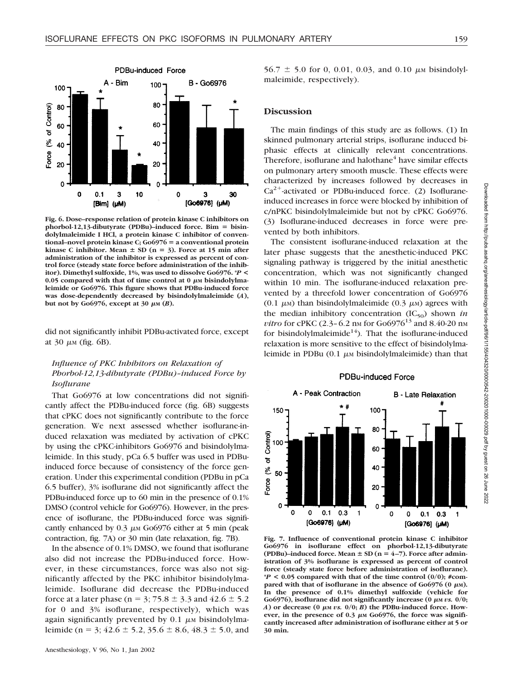

**Fig. 6. Dose–response relation of protein kinase C inhibitors on phorbol-12,13-dibutyrate (PDBu)–induced force. Bim bisindolylmaleimide I HCl, a protein kinase C inhibitor of conventional–novel protein kinase C; Go6976 a conventional protein kinase C inhibitor.** Mean  $\pm$  SD (n = 3). Force at 15 min after **administration of the inhibitor is expressed as percent of control force (steady state force before administration of the inhibitor). Dimethyl sulfoxide, 1%, was used to dissolve Go6976. \****P* **<** 0.05 compared with that of time control at 0 μm bisindolylma**leimide or Go6976. This figure shows that PDBu-induced force was dose-dependently decreased by bisindolylmaleimide (***A***),**  $b$ ut not by Go6976, except at 30  $\mu$ <sub>M</sub> (*B*).

did not significantly inhibit PDBu-activated force, except at  $30 \mu M$  (fig. 6B).

## *Influence of PKC Inhibitors on Relaxation of Phorbol-12,13-dibutyrate (PDBu)–induced Force by Isoflurane*

That Go6976 at low concentrations did not significantly affect the PDBu-induced force (fig. 6B) suggests that cPKC does not significantly contribute to the force generation. We next assessed whether isoflurane-induced relaxation was mediated by activation of cPKC by using the cPKC-inhibitors Go6976 and bisindolylmaleimide. In this study, pCa 6.5 buffer was used in PDBuinduced force because of consistency of the force generation. Under this experimental condition (PDBu in pCa 6.5 buffer), 3% isoflurane did not significantly affect the PDBu-induced force up to 60 min in the presence of 0.1% DMSO (control vehicle for Go6976). However, in the presence of isoflurane, the PDBu-induced force was significantly enhanced by  $0.3 \mu \text{m}$  Go6976 either at 5 min (peak contraction, fig. 7A) or 30 min (late relaxation, fig. 7B).

In the absence of 0.1% DMSO, we found that isoflurane also did not increase the PDBu-induced force. However, in these circumstances, force was also not significantly affected by the PKC inhibitor bisindolylmaleimide. Isoflurane did decrease the PDBu-induced force at a later phase ( $n = 3$ ; 75.8  $\pm$  3.3 and 42.6  $\pm$  5.2 for 0 and 3% isoflurane, respectively), which was again significantly prevented by  $0.1 \mu$ M bisindolylmaleimide (n = 3;  $42.6 \pm 5.2$ ,  $35.6 \pm 8.6$ ,  $48.3 \pm 5.0$ , and

 $56.7 \pm 5.0$  for 0, 0.01, 0.03, and 0.10  $\mu$ M bisindolylmaleimide, respectively).

### **Discussion**

The main findings of this study are as follows. (1) In skinned pulmonary arterial strips, isoflurane induced biphasic effects at clinically relevant concentrations. Therefore, isoflurane and halothane<sup>4</sup> have similar effects on pulmonary artery smooth muscle. These effects were characterized by increases followed by decreases in  $Ca^{2+}$ -activated or PDBu-induced force. (2) Isofluraneinduced increases in force were blocked by inhibition of c/nPKC bisindolylmaleimide but not by cPKC Go6976. (3) Isoflurane-induced decreases in force were prevented by both inhibitors.

The consistent isoflurane-induced relaxation at the later phase suggests that the anesthetic-induced PKC signaling pathway is triggered by the initial anesthetic concentration, which was not significantly changed within 10 min. The isoflurane-induced relaxation prevented by a threefold lower concentration of Go6976 (0.1  $\mu$ <sub>M</sub>) than bisindolylmaleimide (0.3  $\mu$ <sub>M</sub>) agrees with the median inhibitory concentration  $(IC_{50})$  shown *in vitro* for cPKC (2.3–6.2 nm for  $Go6976^{13}$  and 8.40-20 nm for bisindolylmaleimide<sup>14</sup>). That the isoflurane-induced relaxation is more sensitive to the effect of bisindolylmaleimide in PDBu  $(0.1 \mu M)$  bisindolylmaleimide) than that

PDBu-induced Force

#### A - Peak Contraction **B** - Late Relaxation  $\pm$   $\pm$ 150 100 80 of Control 100 60 40 ల్లి 50 Force 20 0  $\Omega$  $\mathbf 0$  $\Omega$  $0.1$  $0.3$  $\mathbf{1}$ 0  $\Omega$  $0.1$  0.3  $\mathbf{1}$ [Go6976] (µM) [Go6976] (µM)

**Fig. 7. Influence of conventional protein kinase C inhibitor Go6976 in isoflurane effect on phorbol-12,13-dibutyrate (PDBu)–induced force. Mean**  $\pm$  **SD (n = 4–7). Force after administration of 3% isoflurane is expressed as percent of control force (steady state force before administration of isoflurane).**  $*P < 0.05$  compared with that of the time control  $(0/0);$  #compared with that of isoflurane in the absence of  $Go6976$  (0  $\mu$ M). **In the presence of 0.1% dimethyl sulfoxide (vehicle for** Go6976), isoflurane did not significantly increase  $(0 \mu M \text{ } vs. 0/0;$  $A$ ) or decrease (0  $\mu$ M *vs.*  $0/0$ ; *B*) the PDBu-induced force. However, in the presence of  $0.3 \mu$ M  $Go6976$ , the force was signifi**cantly increased after administration of isoflurane either at 5 or 30 min.**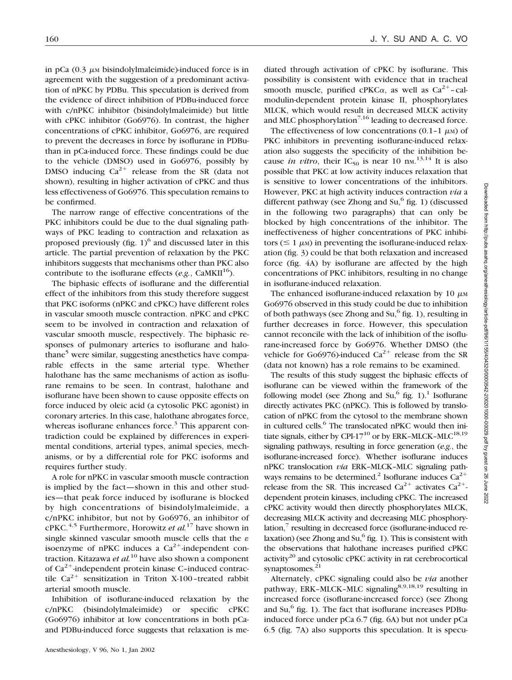in pCa  $(0.3 \mu\text{m})$  bisindolylmaleimide)-induced force is in agreement with the suggestion of a predominant activation of nPKC by PDBu. This speculation is derived from the evidence of direct inhibition of PDBu-induced force with c/nPKC inhibitor (bisindolylmaleimide) but little with cPKC inhibitor (Go6976). In contrast, the higher concentrations of cPKC inhibitor, Go6976, are required to prevent the decreases in force by isoflurane in PDButhan in pCa-induced force. These findings could be due to the vehicle (DMSO) used in Go6976, possibly by DMSO inducing  $Ca^{2+}$  release from the SR (data not shown), resulting in higher activation of cPKC and thus less effectiveness of Go6976. This speculation remains to be confirmed.

The narrow range of effective concentrations of the PKC inhibitors could be due to the dual signaling pathways of PKC leading to contraction and relaxation as proposed previously (fig.  $1$ )<sup>6</sup> and discussed later in this article. The partial prevention of relaxation by the PKC inhibitors suggests that mechanisms other than PKC also contribute to the isoflurane effects ( $e.g.,$  CaMKII<sup>16</sup>).

The biphasic effects of isoflurane and the differential effect of the inhibitors from this study therefore suggest that PKC isoforms (nPKC and cPKC) have different roles in vascular smooth muscle contraction. nPKC and cPKC seem to be involved in contraction and relaxation of vascular smooth muscle, respectively. The biphasic responses of pulmonary arteries to isoflurane and halothane<sup>5</sup> were similar, suggesting anesthetics have comparable effects in the same arterial type. Whether halothane has the same mechanisms of action as isoflurane remains to be seen. In contrast, halothane and isoflurane have been shown to cause opposite effects on force induced by oleic acid (a cytosolic PKC agonist) in coronary arteries. In this case, halothane abrogates force, whereas isoflurane enhances force.<sup>3</sup> This apparent contradiction could be explained by differences in experimental conditions, arterial types, animal species, mechanisms, or by a differential role for PKC isoforms and requires further study.

A role for nPKC in vascular smooth muscle contraction is implied by the fact—shown in this and other studies—that peak force induced by isoflurane is blocked by high concentrations of bisindolylmaleimide, a c/nPKC inhibitor, but not by Go6976, an inhibitor of cPKC.4,5 Furthermore, Horowitz *et al.*<sup>17</sup> have shown in single skinned vascular smooth muscle cells that the  $\varepsilon$ isoenzyme of nPKC induces a  $Ca^{2+}$ -independent contraction. Kitazawa *et al.*<sup>10</sup> have also shown a component of  $Ca^{2+}$ -independent protein kinase C-induced contractile  $Ca^{2+}$  sensitization in Triton X-100-treated rabbit arterial smooth muscle.

Inhibition of isoflurane-induced relaxation by the c/nPKC (bisindolylmaleimide) or specific cPKC (Go6976) inhibitor at low concentrations in both pCaand PDBu-induced force suggests that relaxation is me-

diated through activation of cPKC by isoflurane. This possibility is consistent with evidence that in tracheal smooth muscle, purified cPKC $\alpha$ , as well as Ca<sup>2+</sup>-calmodulin-dependent protein kinase II, phosphorylates MLCK, which would result in decreased MLCK activity and MLC phosphorylation<sup>7,16</sup> leading to decreased force.

The effectiveness of low concentrations  $(0.1-1 \mu)$  of PKC inhibitors in preventing isoflurane-induced relaxation also suggests the specificity of the inhibition because *in vitro*, their  $IC_{50}$  is near 10 nm.<sup>13,14</sup> It is also possible that PKC at low activity induces relaxation that is sensitive to lower concentrations of the inhibitors. However, PKC at high activity induces contraction *via* a different pathway (see Zhong and Su, $<sup>6</sup>$  fig. 1) (discussed</sup> in the following two paragraphs) that can only be blocked by high concentrations of the inhibitor. The ineffectiveness of higher concentrations of PKC inhibitors ( $\leq 1 \mu$ M) in preventing the isoflurane-induced relaxation (fig. 3) could be that both relaxation and increased force (fig. 4A) by isoflurane are affected by the high concentrations of PKC inhibitors, resulting in no change in isoflurane-induced relaxation.

The enhanced isoflurane-induced relaxation by 10  $\mu$ M Go6976 observed in this study could be due to inhibition of both pathways (see Zhong and Su, $6$  fig. 1), resulting in further decreases in force. However, this speculation cannot reconcile with the lack of inhibition of the isoflurane-increased force by Go6976. Whether DMSO (the vehicle for Go6976)-induced  $Ca^{2+}$  release from the SR (data not known) has a role remains to be examined.

The results of this study suggest the biphasic effects of isoflurane can be viewed within the framework of the following model (see Zhong and  $Su<sup>6</sup>$  fig. 1).<sup>1</sup> Isoflurane directly activates PKC (nPKC). This is followed by translocation of nPKC from the cytosol to the membrane shown in cultured cells.<sup>6</sup> The translocated nPKC would then initiate signals, either by CPI-17<sup>10</sup> or by ERK–MLCK–MLC<sup>18,19</sup> signaling pathways, resulting in force generation (*e.g.*, the isoflurane-increased force). Whether isoflurane induces nPKC translocation *via* ERK–MLCK–MLC signaling pathways remains to be determined.<sup>2</sup> Isoflurane induces  $Ca^{2+}$ release from the SR. This increased  $Ca^{2+}$  activates  $Ca^{2+}$ dependent protein kinases, including cPKC. The increased cPKC activity would then directly phosphorylates MLCK, decreasing MLCK activity and decreasing MLC phosphorylation, $\frac{7}{7}$  resulting in decreased force (isoflurane-induced relaxation) (see Zhong and Su, $6$  fig. 1). This is consistent with the observations that halothane increases purified cPKC  $\arct{ivity}^{20}$  and cytosolic cPKC activity in rat cerebrocortical synaptosomes. $21$ 

Alternately, cPKC signaling could also be *via* another pathway, ERK-MLCK-MLC signaling<sup>8,9,18,19</sup> resulting in increased force (isoflurane-increased force) (see Zhong and  $Su<sup>6</sup>$  fig. 1). The fact that isoflurane increases PDBuinduced force under pCa 6.7 (fig. 6A) but not under pCa 6.5 (fig. 7A) also supports this speculation. It is specu